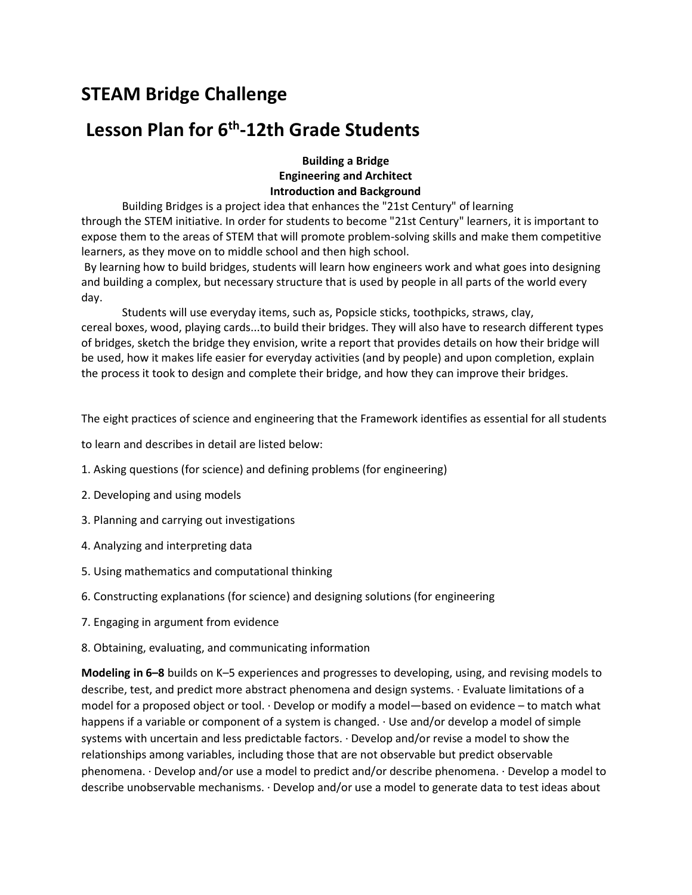# STEAM Bridge Challenge

## Lesson Plan for  $6<sup>th</sup>$ -12th Grade Students

Building a Bridge Engineering and Architect Introduction and Background

Building Bridges is a project idea that enhances the "21st Century" of learning through the STEM initiative. In order for students to become "21st Century" learners, it is important to expose them to the areas of STEM that will promote problem-solving skills and make them competitive learners, as they move on to middle school and then high school.

 By learning how to build bridges, students will learn how engineers work and what goes into designing and building a complex, but necessary structure that is used by people in all parts of the world every day.

Students will use everyday items, such as, Popsicle sticks, toothpicks, straws, clay, cereal boxes, wood, playing cards...to build their bridges. They will also have to research different types of bridges, sketch the bridge they envision, write a report that provides details on how their bridge will be used, how it makes life easier for everyday activities (and by people) and upon completion, explain the process it took to design and complete their bridge, and how they can improve their bridges.

The eight practices of science and engineering that the Framework identifies as essential for all students

to learn and describes in detail are listed below:

- 1. Asking questions (for science) and defining problems (for engineering)
- 2. Developing and using models
- 3. Planning and carrying out investigations
- 4. Analyzing and interpreting data
- 5. Using mathematics and computational thinking
- 6. Constructing explanations (for science) and designing solutions (for engineering
- 7. Engaging in argument from evidence
- 8. Obtaining, evaluating, and communicating information

Modeling in 6–8 builds on K–5 experiences and progresses to developing, using, and revising models to describe, test, and predict more abstract phenomena and design systems. · Evaluate limitations of a model for a proposed object or tool. · Develop or modify a model—based on evidence – to match what happens if a variable or component of a system is changed. · Use and/or develop a model of simple systems with uncertain and less predictable factors. · Develop and/or revise a model to show the relationships among variables, including those that are not observable but predict observable phenomena. · Develop and/or use a model to predict and/or describe phenomena. · Develop a model to describe unobservable mechanisms. · Develop and/or use a model to generate data to test ideas about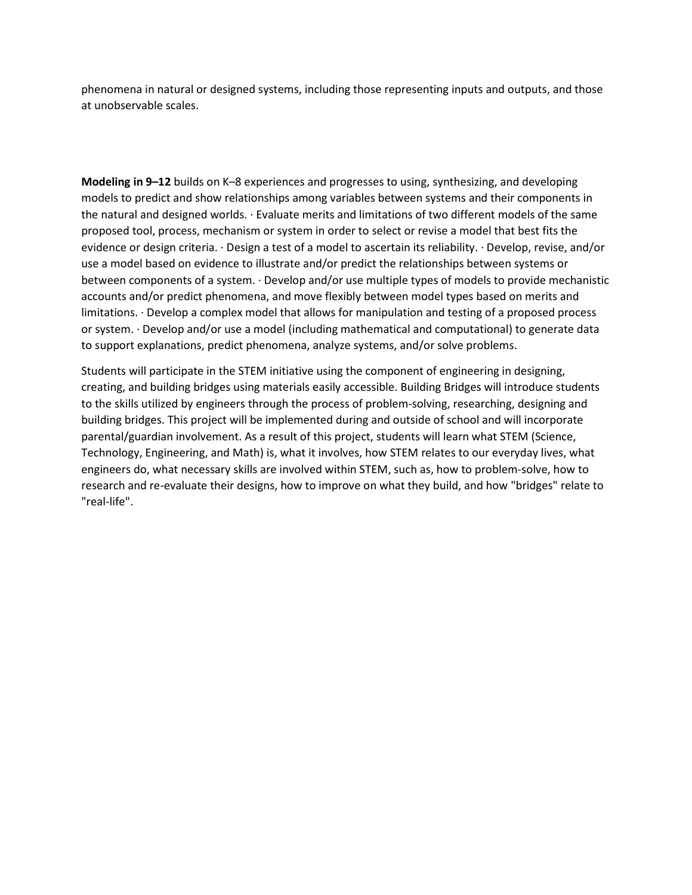phenomena in natural or designed systems, including those representing inputs and outputs, and those at unobservable scales.

Modeling in 9–12 builds on K–8 experiences and progresses to using, synthesizing, and developing models to predict and show relationships among variables between systems and their components in the natural and designed worlds. · Evaluate merits and limitations of two different models of the same proposed tool, process, mechanism or system in order to select or revise a model that best fits the evidence or design criteria. · Design a test of a model to ascertain its reliability. · Develop, revise, and/or use a model based on evidence to illustrate and/or predict the relationships between systems or between components of a system. · Develop and/or use multiple types of models to provide mechanistic accounts and/or predict phenomena, and move flexibly between model types based on merits and limitations. · Develop a complex model that allows for manipulation and testing of a proposed process or system. · Develop and/or use a model (including mathematical and computational) to generate data to support explanations, predict phenomena, analyze systems, and/or solve problems.

Students will participate in the STEM initiative using the component of engineering in designing, creating, and building bridges using materials easily accessible. Building Bridges will introduce students to the skills utilized by engineers through the process of problem-solving, researching, designing and building bridges. This project will be implemented during and outside of school and will incorporate parental/guardian involvement. As a result of this project, students will learn what STEM (Science, Technology, Engineering, and Math) is, what it involves, how STEM relates to our everyday lives, what engineers do, what necessary skills are involved within STEM, such as, how to problem-solve, how to research and re-evaluate their designs, how to improve on what they build, and how "bridges" relate to "real-life".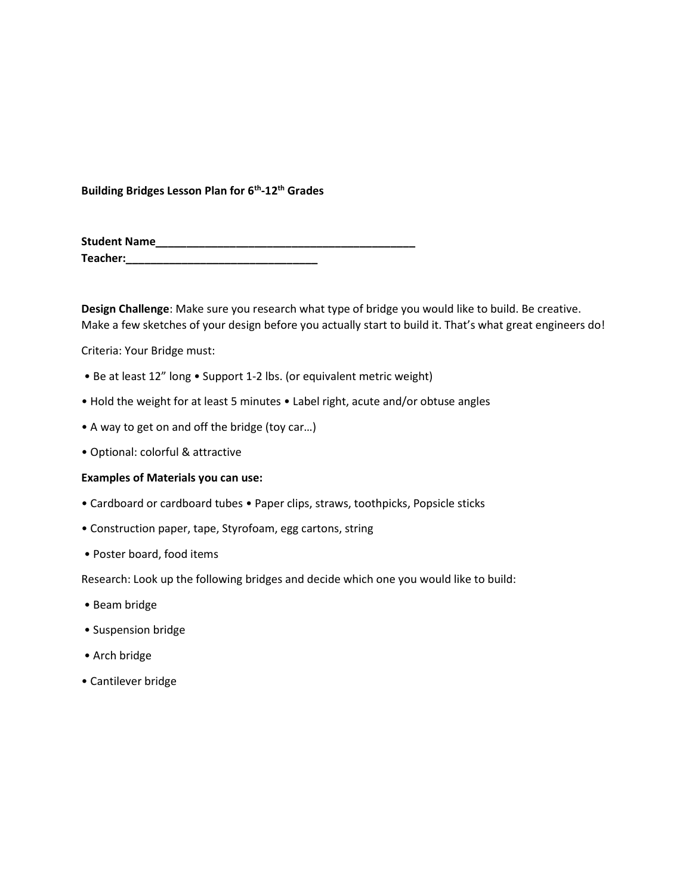Building Bridges Lesson Plan for 6<sup>th</sup>-12<sup>th</sup> Grades

| <b>Student Name</b> |  |
|---------------------|--|
| Teacher:            |  |

Design Challenge: Make sure you research what type of bridge you would like to build. Be creative. Make a few sketches of your design before you actually start to build it. That's what great engineers do!

Criteria: Your Bridge must:

- Be at least 12" long Support 1-2 lbs. (or equivalent metric weight)
- Hold the weight for at least 5 minutes Label right, acute and/or obtuse angles
- A way to get on and off the bridge (toy car…)
- Optional: colorful & attractive

#### Examples of Materials you can use:

- Cardboard or cardboard tubes Paper clips, straws, toothpicks, Popsicle sticks
- Construction paper, tape, Styrofoam, egg cartons, string
- Poster board, food items

Research: Look up the following bridges and decide which one you would like to build:

- Beam bridge
- Suspension bridge
- Arch bridge
- Cantilever bridge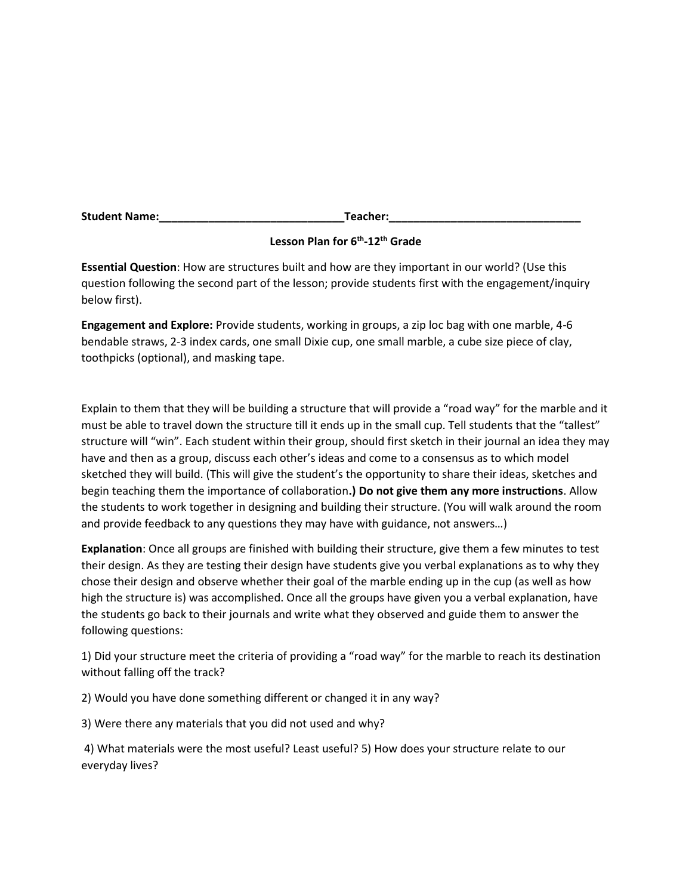| <b>Student Name:</b> | <b>Feacher:</b> |
|----------------------|-----------------|
|                      |                 |

## Lesson Plan for 6<sup>th</sup>-12<sup>th</sup> Grade

Essential Question: How are structures built and how are they important in our world? (Use this question following the second part of the lesson; provide students first with the engagement/inquiry below first).

Engagement and Explore: Provide students, working in groups, a zip loc bag with one marble, 4-6 bendable straws, 2-3 index cards, one small Dixie cup, one small marble, a cube size piece of clay, toothpicks (optional), and masking tape.

Explain to them that they will be building a structure that will provide a "road way" for the marble and it must be able to travel down the structure till it ends up in the small cup. Tell students that the "tallest" structure will "win". Each student within their group, should first sketch in their journal an idea they may have and then as a group, discuss each other's ideas and come to a consensus as to which model sketched they will build. (This will give the student's the opportunity to share their ideas, sketches and begin teaching them the importance of collaboration.) Do not give them any more instructions. Allow the students to work together in designing and building their structure. (You will walk around the room and provide feedback to any questions they may have with guidance, not answers…)

Explanation: Once all groups are finished with building their structure, give them a few minutes to test their design. As they are testing their design have students give you verbal explanations as to why they chose their design and observe whether their goal of the marble ending up in the cup (as well as how high the structure is) was accomplished. Once all the groups have given you a verbal explanation, have the students go back to their journals and write what they observed and guide them to answer the following questions:

1) Did your structure meet the criteria of providing a "road way" for the marble to reach its destination without falling off the track?

2) Would you have done something different or changed it in any way?

3) Were there any materials that you did not used and why?

 4) What materials were the most useful? Least useful? 5) How does your structure relate to our everyday lives?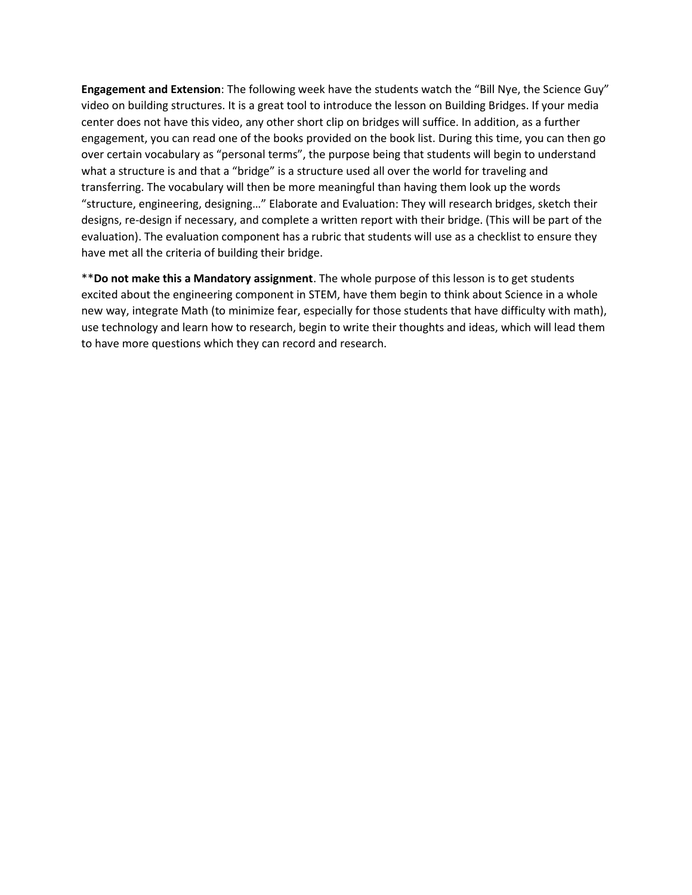Engagement and Extension: The following week have the students watch the "Bill Nye, the Science Guy" video on building structures. It is a great tool to introduce the lesson on Building Bridges. If your media center does not have this video, any other short clip on bridges will suffice. In addition, as a further engagement, you can read one of the books provided on the book list. During this time, you can then go over certain vocabulary as "personal terms", the purpose being that students will begin to understand what a structure is and that a "bridge" is a structure used all over the world for traveling and transferring. The vocabulary will then be more meaningful than having them look up the words "structure, engineering, designing…" Elaborate and Evaluation: They will research bridges, sketch their designs, re-design if necessary, and complete a written report with their bridge. (This will be part of the evaluation). The evaluation component has a rubric that students will use as a checklist to ensure they have met all the criteria of building their bridge.

\*\* Do not make this a Mandatory assignment. The whole purpose of this lesson is to get students excited about the engineering component in STEM, have them begin to think about Science in a whole new way, integrate Math (to minimize fear, especially for those students that have difficulty with math), use technology and learn how to research, begin to write their thoughts and ideas, which will lead them to have more questions which they can record and research.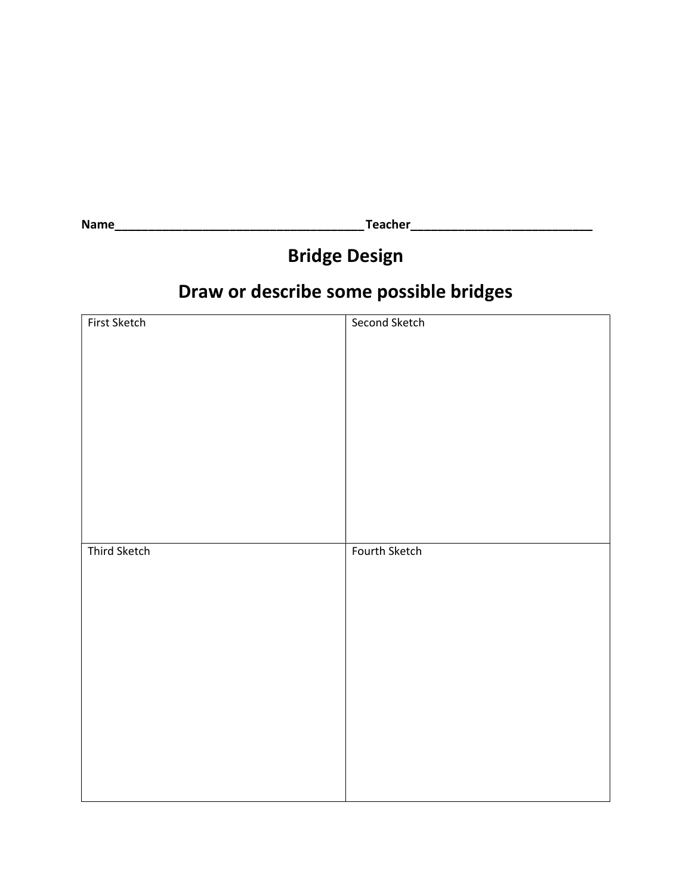Name\_\_\_\_\_\_\_\_\_\_\_\_\_\_\_\_\_\_\_\_\_\_\_\_\_\_\_\_\_\_\_\_\_\_\_\_\_ Teacher\_\_\_\_\_\_\_\_\_\_\_\_\_\_\_\_\_\_\_\_\_\_\_\_\_\_\_

# Bridge Design

# Draw or describe some possible bridges

| First Sketch | Second Sketch |
|--------------|---------------|
| Third Sketch | Fourth Sketch |
|              |               |
|              |               |
|              |               |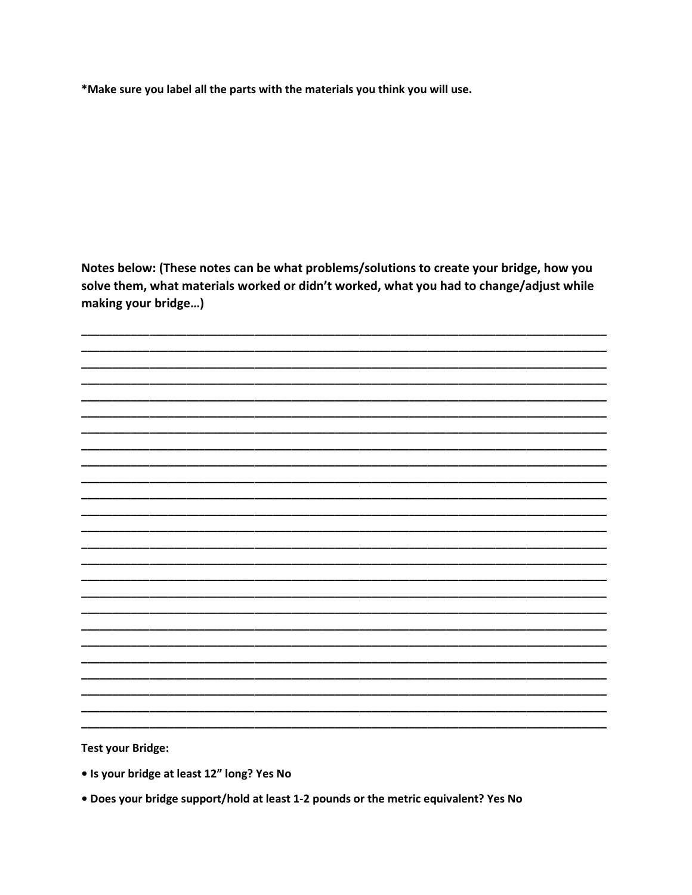\*Make sure you label all the parts with the materials you think you will use.

Notes below: (These notes can be what problems/solutions to create your bridge, how you solve them, what materials worked or didn't worked, what you had to change/adjust while making your bridge...)

**Test your Bridge:** 

- Is your bridge at least 12" long? Yes No
- . Does your bridge support/hold at least 1-2 pounds or the metric equivalent? Yes No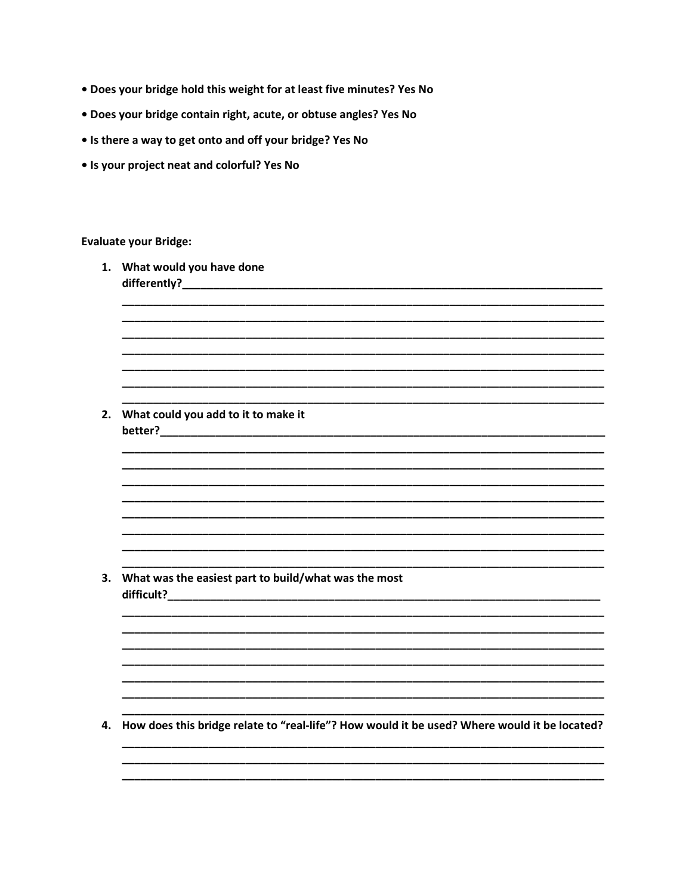- . Does your bridge hold this weight for at least five minutes? Yes No
- · Does your bridge contain right, acute, or obtuse angles? Yes No
- . Is there a way to get onto and off your bridge? Yes No
- Is your project neat and colorful? Yes No

### **Evaluate your Bridge:**

|    | 1. What would you have done                                                                  |
|----|----------------------------------------------------------------------------------------------|
|    |                                                                                              |
|    |                                                                                              |
| 2. | What could you add to it to make it                                                          |
|    |                                                                                              |
|    |                                                                                              |
|    |                                                                                              |
|    |                                                                                              |
| 3. | What was the easiest part to build/what was the most                                         |
|    |                                                                                              |
|    |                                                                                              |
|    |                                                                                              |
| 4. | How does this bridge relate to "real-life"? How would it be used? Where would it be located? |
|    |                                                                                              |